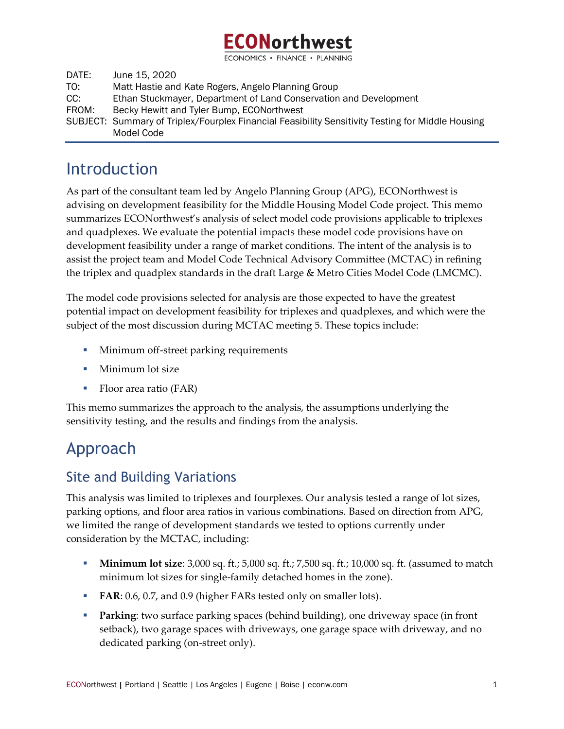

DATE: June 15, 2020 TO: Matt Hastie and Kate Rogers, Angelo Planning Group CC: Ethan Stuckmayer, Department of Land Conservation and Development FROM: Becky Hewitt and Tyler Bump, ECONorthwest SUBJECT: Summary of Triplex/Fourplex Financial Feasibility Sensitivity Testing for Middle Housing Model Code

# Introduction

As part of the consultant team led by Angelo Planning Group (APG), ECONorthwest is advising on development feasibility for the Middle Housing Model Code project. This memo summarizes ECONorthwest's analysis of select model code provisions applicable to triplexes and quadplexes. We evaluate the potential impacts these model code provisions have on development feasibility under a range of market conditions. The intent of the analysis is to assist the project team and Model Code Technical Advisory Committee (MCTAC) in refining the triplex and quadplex standards in the draft Large & Metro Cities Model Code (LMCMC).

The model code provisions selected for analysis are those expected to have the greatest potential impact on development feasibility for triplexes and quadplexes, and which were the subject of the most discussion during MCTAC meeting 5. These topics include:

- **I** Minimum off-street parking requirements
- Minimum lot size
- Floor area ratio (FAR)

This memo summarizes the approach to the analysis, the assumptions underlying the sensitivity testing, and the results and findings from the analysis.

# Approach

### Site and Building Variations

This analysis was limited to triplexes and fourplexes. Our analysis tested a range of lot sizes, parking options, and floor area ratios in various combinations. Based on direction from APG, we limited the range of development standards we tested to options currently under consideration by the MCTAC, including:

- **Minimum lot size:** 3,000 sq. ft.; 5,000 sq. ft.; 7,500 sq. ft.; 10,000 sq. ft. (assumed to match minimum lot sizes for single-family detached homes in the zone).
- **FAR**: 0.6, 0.7, and 0.9 (higher FARs tested only on smaller lots).
- **Parking:** two surface parking spaces (behind building), one driveway space (in front setback), two garage spaces with driveways, one garage space with driveway, and no dedicated parking (on-street only).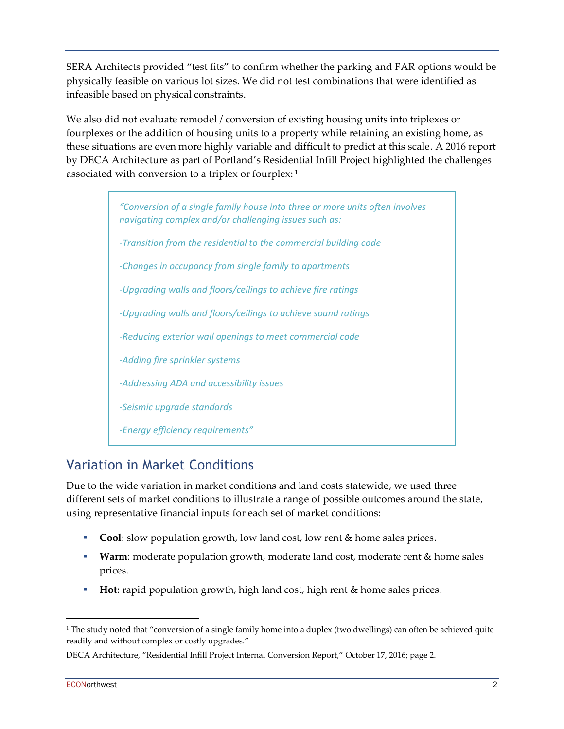SERA Architects provided "test fits" to confirm whether the parking and FAR options would be physically feasible on various lot sizes. We did not test combinations that were identified as infeasible based on physical constraints.

We also did not evaluate remodel / conversion of existing housing units into triplexes or fourplexes or the addition of housing units to a property while retaining an existing home, as these situations are even more highly variable and difficult to predict at this scale. A 2016 report by DECA Architecture as part of Portland's Residential Infill Project highlighted the challenges associated with conversion to a triplex or fourplex: <sup>1</sup>

> *"Conversion of a single family house into three or more units often involves navigating complex and/or challenging issues such as: -Transition from the residential to the commercial building code -Changes in occupancy from single family to apartments -Upgrading walls and floors/ceilings to achieve fire ratings -Upgrading walls and floors/ceilings to achieve sound ratings -Reducing exterior wall openings to meet commercial code -Adding fire sprinkler systems -Addressing ADA and accessibility issues -Seismic upgrade standards -Energy efficiency requirements"*

### Variation in Market Conditions

Due to the wide variation in market conditions and land costs statewide, we used three different sets of market conditions to illustrate a range of possible outcomes around the state, using representative financial inputs for each set of market conditions:

- **Cool**: slow population growth, low land cost, low rent & home sales prices.
- **Warm**: moderate population growth, moderate land cost, moderate rent & home sales prices.
- **Hot**: rapid population growth, high land cost, high rent & home sales prices.

<sup>&</sup>lt;sup>1</sup> The study noted that "conversion of a single family home into a duplex (two dwellings) can often be achieved quite readily and without complex or costly upgrades."

DECA Architecture, "Residential Infill Project Internal Conversion Report," October 17, 2016; page 2.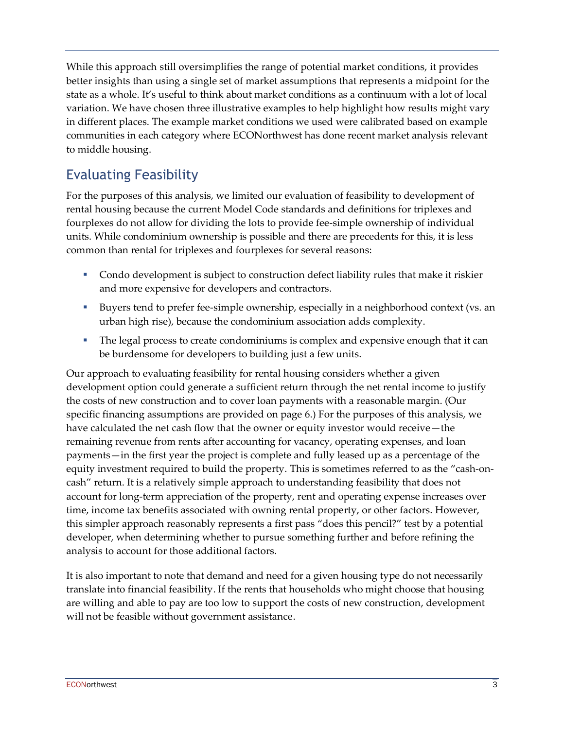While this approach still oversimplifies the range of potential market conditions, it provides better insights than using a single set of market assumptions that represents a midpoint for the state as a whole. It's useful to think about market conditions as a continuum with a lot of local variation. We have chosen three illustrative examples to help highlight how results might vary in different places. The example market conditions we used were calibrated based on example communities in each category where ECONorthwest has done recent market analysis relevant to middle housing.

## Evaluating Feasibility

For the purposes of this analysis, we limited our evaluation of feasibility to development of rental housing because the current Model Code standards and definitions for triplexes and fourplexes do not allow for dividing the lots to provide fee-simple ownership of individual units. While condominium ownership is possible and there are precedents for this, it is less common than rental for triplexes and fourplexes for several reasons:

- Condo development is subject to construction defect liability rules that make it riskier and more expensive for developers and contractors.
- Buyers tend to prefer fee-simple ownership, especially in a neighborhood context (vs. an urban high rise), because the condominium association adds complexity.
- **The legal process to create condominiums is complex and expensive enough that it can** be burdensome for developers to building just a few units.

Our approach to evaluating feasibility for rental housing considers whether a given development option could generate a sufficient return through the net rental income to justify the costs of new construction and to cover loan payments with a reasonable margin. (Our specific financing assumptions are provided on page [6.](#page-5-0)) For the purposes of this analysis, we have calculated the net cash flow that the owner or equity investor would receive—the remaining revenue from rents after accounting for vacancy, operating expenses, and loan payments—in the first year the project is complete and fully leased up as a percentage of the equity investment required to build the property. This is sometimes referred to as the "cash-oncash" return. It is a relatively simple approach to understanding feasibility that does not account for long-term appreciation of the property, rent and operating expense increases over time, income tax benefits associated with owning rental property, or other factors. However, this simpler approach reasonably represents a first pass "does this pencil?" test by a potential developer, when determining whether to pursue something further and before refining the analysis to account for those additional factors.

It is also important to note that demand and need for a given housing type do not necessarily translate into financial feasibility. If the rents that households who might choose that housing are willing and able to pay are too low to support the costs of new construction, development will not be feasible without government assistance.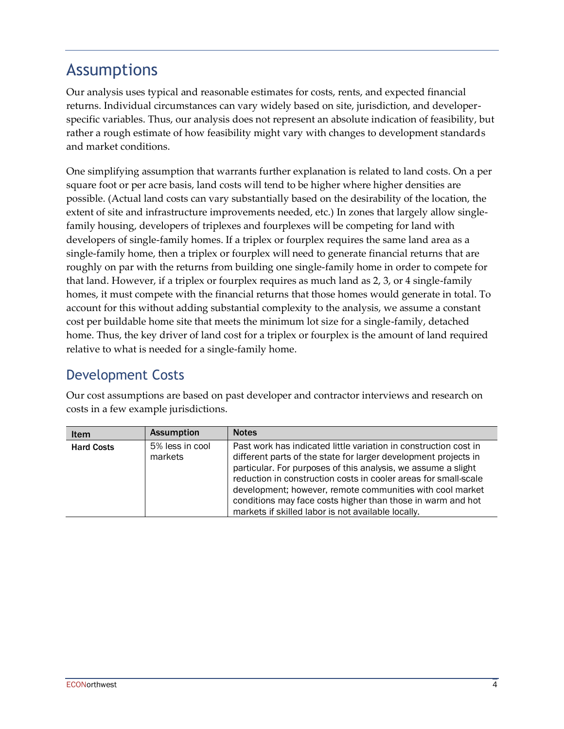# <span id="page-3-0"></span>Assumptions

Our analysis uses typical and reasonable estimates for costs, rents, and expected financial returns. Individual circumstances can vary widely based on site, jurisdiction, and developerspecific variables. Thus, our analysis does not represent an absolute indication of feasibility, but rather a rough estimate of how feasibility might vary with changes to development standards and market conditions.

One simplifying assumption that warrants further explanation is related to land costs. On a per square foot or per acre basis, land costs will tend to be higher where higher densities are possible. (Actual land costs can vary substantially based on the desirability of the location, the extent of site and infrastructure improvements needed, etc.) In zones that largely allow singlefamily housing, developers of triplexes and fourplexes will be competing for land with developers of single-family homes. If a triplex or fourplex requires the same land area as a single-family home, then a triplex or fourplex will need to generate financial returns that are roughly on par with the returns from building one single-family home in order to compete for that land. However, if a triplex or fourplex requires as much land as 2, 3, or 4 single-family homes, it must compete with the financial returns that those homes would generate in total. To account for this without adding substantial complexity to the analysis, we assume a constant cost per buildable home site that meets the minimum lot size for a single-family, detached home. Thus, the key driver of land cost for a triplex or fourplex is the amount of land required relative to what is needed for a single-family home.

## Development Costs

Our cost assumptions are based on past developer and contractor interviews and research on costs in a few example jurisdictions.

| <b>Item</b>       | <b>Assumption</b>          | <b>Notes</b>                                                                                                                                                                                                                                                                                                                                                                                                                                              |
|-------------------|----------------------------|-----------------------------------------------------------------------------------------------------------------------------------------------------------------------------------------------------------------------------------------------------------------------------------------------------------------------------------------------------------------------------------------------------------------------------------------------------------|
| <b>Hard Costs</b> | 5% less in cool<br>markets | Past work has indicated little variation in construction cost in<br>different parts of the state for larger development projects in<br>particular. For purposes of this analysis, we assume a slight<br>reduction in construction costs in cooler areas for small-scale<br>development; however, remote communities with cool market<br>conditions may face costs higher than those in warm and hot<br>markets if skilled labor is not available locally. |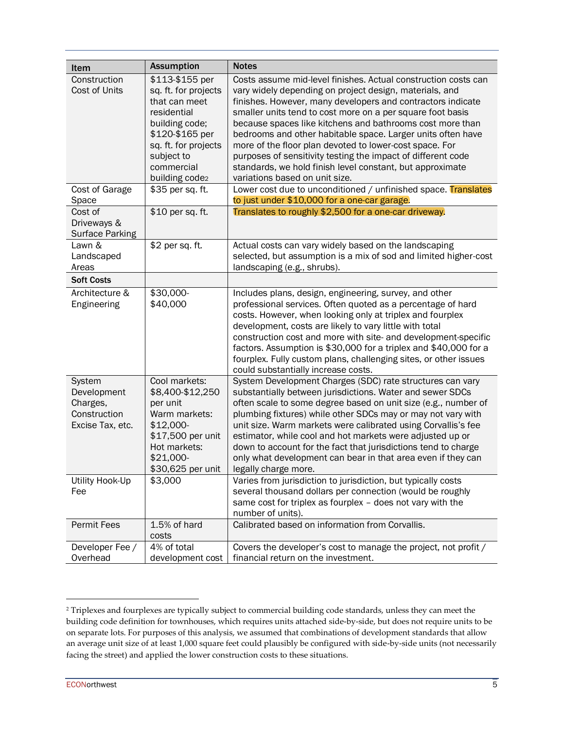| Item                                                                  | <b>Assumption</b>                                                                                                                                                                                      | <b>Notes</b>                                                                                                                                                                                                                                                                                                                                                                                                                                                                                                                                                                                                                                                                   |
|-----------------------------------------------------------------------|--------------------------------------------------------------------------------------------------------------------------------------------------------------------------------------------------------|--------------------------------------------------------------------------------------------------------------------------------------------------------------------------------------------------------------------------------------------------------------------------------------------------------------------------------------------------------------------------------------------------------------------------------------------------------------------------------------------------------------------------------------------------------------------------------------------------------------------------------------------------------------------------------|
| Construction<br>Cost of Units<br>Cost of Garage                       | \$113-\$155 per<br>sq. ft. for projects<br>that can meet<br>residential<br>building code;<br>\$120-\$165 per<br>sq. ft. for projects<br>subject to<br>commercial<br>building code2<br>\$35 per sq. ft. | Costs assume mid-level finishes. Actual construction costs can<br>vary widely depending on project design, materials, and<br>finishes. However, many developers and contractors indicate<br>smaller units tend to cost more on a per square foot basis<br>because spaces like kitchens and bathrooms cost more than<br>bedrooms and other habitable space. Larger units often have<br>more of the floor plan devoted to lower-cost space. For<br>purposes of sensitivity testing the impact of different code<br>standards, we hold finish level constant, but approximate<br>variations based on unit size.<br>Lower cost due to unconditioned / unfinished space. Translates |
| Space                                                                 |                                                                                                                                                                                                        | to just under \$10,000 for a one-car garage.                                                                                                                                                                                                                                                                                                                                                                                                                                                                                                                                                                                                                                   |
| Cost of<br>Driveways &<br><b>Surface Parking</b>                      | \$10 per sq. ft.                                                                                                                                                                                       | Translates to roughly \$2,500 for a one-car driveway.                                                                                                                                                                                                                                                                                                                                                                                                                                                                                                                                                                                                                          |
| Lawn &<br>Landscaped<br>Areas                                         | \$2 per sq. ft.                                                                                                                                                                                        | Actual costs can vary widely based on the landscaping<br>selected, but assumption is a mix of sod and limited higher-cost<br>landscaping (e.g., shrubs).                                                                                                                                                                                                                                                                                                                                                                                                                                                                                                                       |
| <b>Soft Costs</b>                                                     |                                                                                                                                                                                                        |                                                                                                                                                                                                                                                                                                                                                                                                                                                                                                                                                                                                                                                                                |
| Architecture &<br>Engineering                                         | \$30,000-<br>\$40,000                                                                                                                                                                                  | Includes plans, design, engineering, survey, and other<br>professional services. Often quoted as a percentage of hard<br>costs. However, when looking only at triplex and fourplex<br>development, costs are likely to vary little with total<br>construction cost and more with site- and development-specific<br>factors. Assumption is \$30,000 for a triplex and \$40,000 for a<br>fourplex. Fully custom plans, challenging sites, or other issues<br>could substantially increase costs.                                                                                                                                                                                 |
| System<br>Development<br>Charges,<br>Construction<br>Excise Tax, etc. | Cool markets:<br>\$8,400-\$12,250<br>per unit<br>Warm markets:<br>\$12,000-<br>\$17,500 per unit<br>Hot markets:<br>\$21,000-<br>\$30,625 per unit                                                     | System Development Charges (SDC) rate structures can vary<br>substantially between jurisdictions. Water and sewer SDCs<br>often scale to some degree based on unit size (e.g., number of<br>plumbing fixtures) while other SDCs may or may not vary with<br>unit size. Warm markets were calibrated using Corvallis's fee<br>estimator, while cool and hot markets were adjusted up or<br>down to account for the fact that jurisdictions tend to charge<br>only what development can bear in that area even if they can<br>legally charge more.                                                                                                                               |
| Utility Hook-Up<br>Fee                                                | \$3,000                                                                                                                                                                                                | Varies from jurisdiction to jurisdiction, but typically costs<br>several thousand dollars per connection (would be roughly<br>same cost for triplex as fourplex - does not vary with the<br>number of units).                                                                                                                                                                                                                                                                                                                                                                                                                                                                  |
| Permit Fees                                                           | 1.5% of hard<br>costs                                                                                                                                                                                  | Calibrated based on information from Corvallis.                                                                                                                                                                                                                                                                                                                                                                                                                                                                                                                                                                                                                                |
| Developer Fee /<br>Overhead                                           | 4% of total<br>development cost                                                                                                                                                                        | Covers the developer's cost to manage the project, not profit /<br>financial return on the investment.                                                                                                                                                                                                                                                                                                                                                                                                                                                                                                                                                                         |

<sup>&</sup>lt;sup>2</sup> Triplexes and fourplexes are typically subject to commercial building code standards, unless they can meet the building code definition for townhouses, which requires units attached side-by-side, but does not require units to be on separate lots. For purposes of this analysis, we assumed that combinations of development standards that allow an average unit size of at least 1,000 square feet could plausibly be configured with side-by-side units (not necessarily facing the street) and applied the lower construction costs to these situations.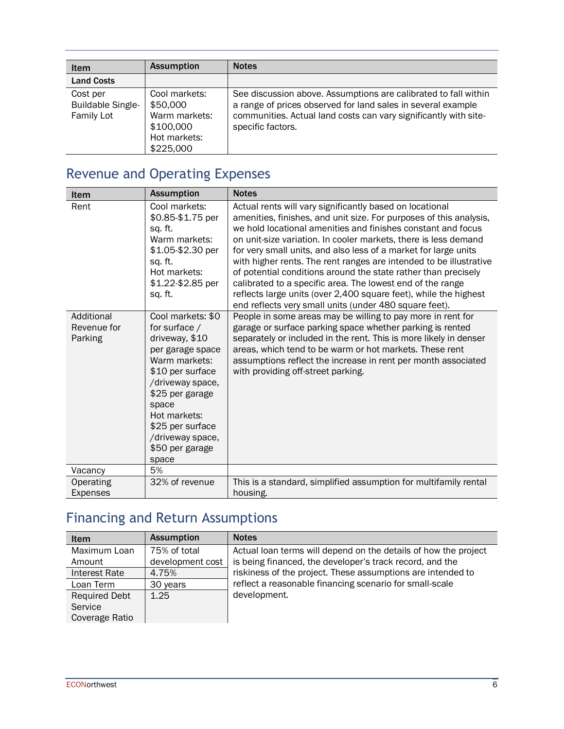| Item                                                      | <b>Assumption</b>                                                                    | <b>Notes</b>                                                                                                                                                                                                             |
|-----------------------------------------------------------|--------------------------------------------------------------------------------------|--------------------------------------------------------------------------------------------------------------------------------------------------------------------------------------------------------------------------|
| <b>Land Costs</b>                                         |                                                                                      |                                                                                                                                                                                                                          |
| Cost per<br><b>Buildable Single-</b><br><b>Family Lot</b> | Cool markets:<br>\$50,000<br>Warm markets:<br>\$100,000<br>Hot markets:<br>\$225,000 | See discussion above. Assumptions are calibrated to fall within<br>a range of prices observed for land sales in several example<br>communities. Actual land costs can vary significantly with site-<br>specific factors. |

# Revenue and Operating Expenses

| Item                                         | <b>Assumption</b>                                                                                                                                                                                                                                                                                                                                                                                   | <b>Notes</b>                                                                                                                                                                                                                                                                                                                                                                                                                                                                                                                                                                                                                                                                                                                                                                                                                                                                                                                                                                                                                                |
|----------------------------------------------|-----------------------------------------------------------------------------------------------------------------------------------------------------------------------------------------------------------------------------------------------------------------------------------------------------------------------------------------------------------------------------------------------------|---------------------------------------------------------------------------------------------------------------------------------------------------------------------------------------------------------------------------------------------------------------------------------------------------------------------------------------------------------------------------------------------------------------------------------------------------------------------------------------------------------------------------------------------------------------------------------------------------------------------------------------------------------------------------------------------------------------------------------------------------------------------------------------------------------------------------------------------------------------------------------------------------------------------------------------------------------------------------------------------------------------------------------------------|
| Rent<br>Additional<br>Revenue for<br>Parking | Cool markets:<br>\$0.85-\$1.75 per<br>sq. ft.<br>Warm markets:<br>\$1.05-\$2.30 per<br>sq. ft.<br>Hot markets:<br>\$1.22-\$2.85 per<br>sq. ft.<br>Cool markets: \$0<br>for surface /<br>driveway, \$10<br>per garage space<br>Warm markets:<br>\$10 per surface<br>/driveway space,<br>\$25 per garage<br>space<br>Hot markets:<br>\$25 per surface<br>/driveway space,<br>\$50 per garage<br>space | Actual rents will vary significantly based on locational<br>amenities, finishes, and unit size. For purposes of this analysis,<br>we hold locational amenities and finishes constant and focus<br>on unit-size variation. In cooler markets, there is less demand<br>for very small units, and also less of a market for large units<br>with higher rents. The rent ranges are intended to be illustrative<br>of potential conditions around the state rather than precisely<br>calibrated to a specific area. The lowest end of the range<br>reflects large units (over 2,400 square feet), while the highest<br>end reflects very small units (under 480 square feet).<br>People in some areas may be willing to pay more in rent for<br>garage or surface parking space whether parking is rented<br>separately or included in the rent. This is more likely in denser<br>areas, which tend to be warm or hot markets. These rent<br>assumptions reflect the increase in rent per month associated<br>with providing off-street parking. |
| Vacancy                                      | 5%                                                                                                                                                                                                                                                                                                                                                                                                  |                                                                                                                                                                                                                                                                                                                                                                                                                                                                                                                                                                                                                                                                                                                                                                                                                                                                                                                                                                                                                                             |
| Operating<br><b>Expenses</b>                 | 32% of revenue                                                                                                                                                                                                                                                                                                                                                                                      | This is a standard, simplified assumption for multifamily rental<br>housing.                                                                                                                                                                                                                                                                                                                                                                                                                                                                                                                                                                                                                                                                                                                                                                                                                                                                                                                                                                |

# <span id="page-5-0"></span>Financing and Return Assumptions

| <b>Item</b>          | <b>Assumption</b> | <b>Notes</b>                                                    |
|----------------------|-------------------|-----------------------------------------------------------------|
| Maximum Loan         | 75% of total      | Actual loan terms will depend on the details of how the project |
| Amount               | development cost  | is being financed, the developer's track record, and the        |
| Interest Rate        | 4.75%             | riskiness of the project. These assumptions are intended to     |
| Loan Term            | 30 years          | reflect a reasonable financing scenario for small-scale         |
| <b>Required Debt</b> | 1.25              | development.                                                    |
| Service              |                   |                                                                 |
| Coverage Ratio       |                   |                                                                 |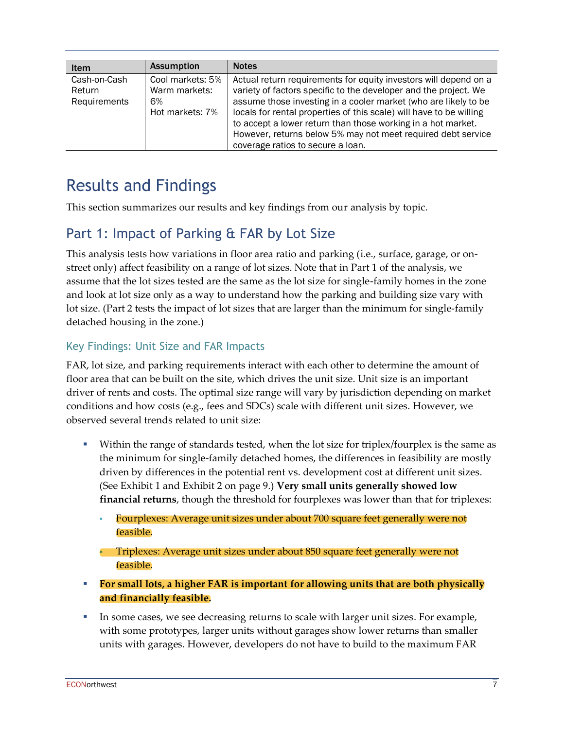| <b>Item</b>                            | <b>Assumption</b>                                          | <b>Notes</b>                                                                                                                                                                                                                                                                                                                                                                                                                                        |
|----------------------------------------|------------------------------------------------------------|-----------------------------------------------------------------------------------------------------------------------------------------------------------------------------------------------------------------------------------------------------------------------------------------------------------------------------------------------------------------------------------------------------------------------------------------------------|
| Cash-on-Cash<br>Return<br>Requirements | Cool markets: 5%<br>Warm markets:<br>6%<br>Hot markets: 7% | Actual return requirements for equity investors will depend on a<br>variety of factors specific to the developer and the project. We<br>assume those investing in a cooler market (who are likely to be<br>locals for rental properties of this scale) will have to be willing<br>to accept a lower return than those working in a hot market.<br>However, returns below 5% may not meet required debt service<br>coverage ratios to secure a loan. |

# Results and Findings

This section summarizes our results and key findings from our analysis by topic.

### Part 1: Impact of Parking & FAR by Lot Size

This analysis tests how variations in floor area ratio and parking (i.e., surface, garage, or onstreet only) affect feasibility on a range of lot sizes. Note that in Part 1 of the analysis, we assume that the lot sizes tested are the same as the lot size for single-family homes in the zone and look at lot size only as a way to understand how the parking and building size vary with lot size. (Part 2 tests the impact of lot sizes that are larger than the minimum for single-family detached housing in the zone.)

#### Key Findings: Unit Size and FAR Impacts

FAR, lot size, and parking requirements interact with each other to determine the amount of floor area that can be built on the site, which drives the unit size. Unit size is an important driver of rents and costs. The optimal size range will vary by jurisdiction depending on market conditions and how costs (e.g., fees and SDCs) scale with different unit sizes. However, we observed several trends related to unit size:

- Within the range of standards tested, when the lot size for triplex/fourplex is the same as the minimum for single-family detached homes, the differences in feasibility are mostly driven by differences in the potential rent vs. development cost at different unit sizes. (See Exhibit 1 and Exhibit 2 on page 9.) **Very small units generally showed low financial returns**, though the threshold for fourplexes was lower than that for triplexes:
	- Fourplexes: Average unit sizes under about 700 square feet generally were not feasible.

**• Triplexes: Average unit sizes under about 850 square feet generally were not** feasible.

- **For small lots, a higher FAR is important for allowing units that are both physically and financially feasible.**
- **IF IN SOME CASES, we see decreasing returns to scale with larger unit sizes. For example,** with some prototypes, larger units without garages show lower returns than smaller units with garages. However, developers do not have to build to the maximum FAR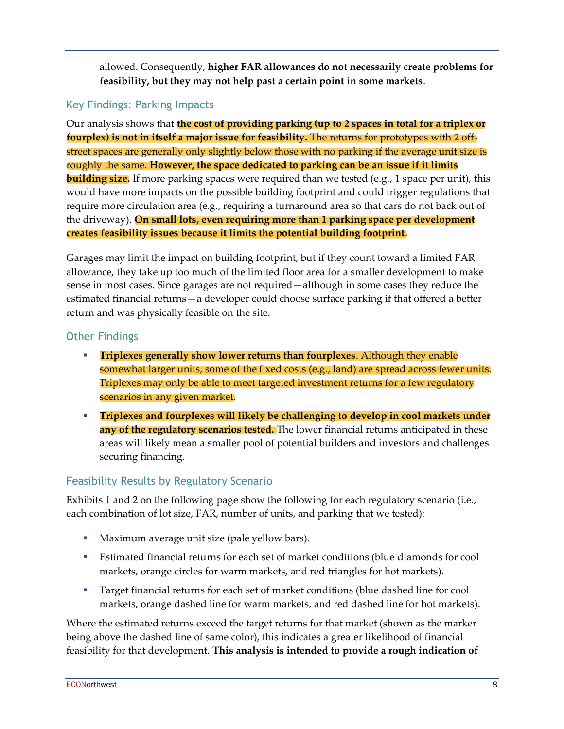allowed. Consequently, **higher FAR allowances do not necessarily create problems for feasibility, but they may not help past a certain point in some markets**.

### Key Findings: Parking Impacts

Our analysis shows that **the cost of providing parking (up to 2 spaces in total for a triplex or fourplex) is not in itself a major issue for feasibility.** The returns for prototypes with 2 offstreet spaces are generally only slightly below those with no parking if the average unit size is roughly the same. **However, the space dedicated to parking can be an issue if it limits building size.** If more parking spaces were required than we tested (e.g., 1 space per unit), this would have more impacts on the possible building footprint and could trigger regulations that require more circulation area (e.g., requiring a turnaround area so that cars do not back out of the driveway). **On small lots, even requiring more than 1 parking space per development creates feasibility issues because it limits the potential building footprint**.

Garages may limit the impact on building footprint, but if they count toward a limited FAR allowance, they take up too much of the limited floor area for a smaller development to make sense in most cases. Since garages are not required—although in some cases they reduce the estimated financial returns—a developer could choose surface parking if that offered a better return and was physically feasible on the site.

#### Other Findings

- **Triplexes generally show lower returns than fourplexes**. Although they enable somewhat larger units, some of the fixed costs (e.g., land) are spread across fewer units. Triplexes may only be able to meet targeted investment returns for a few regulatory scenarios in any given market.
- **Triplexes and fourplexes will likely be challenging to develop in cool markets under**  any of the regulatory scenarios tested. The lower financial returns anticipated in these areas will likely mean a smaller pool of potential builders and investors and challenges securing financing.

### Feasibility Results by Regulatory Scenario

Exhibits 1 and 2 on the following page show the following for each regulatory scenario (i.e., each combination of lot size, FAR, number of units, and parking that we tested):

- Maximum average unit size (pale yellow bars).
- **Estimated financial returns for each set of market conditions (blue diamonds for cool** markets, orange circles for warm markets, and red triangles for hot markets).
- **Target financial returns for each set of market conditions (blue dashed line for cool** markets, orange dashed line for warm markets, and red dashed line for hot markets).

Where the estimated returns exceed the target returns for that market (shown as the marker being above the dashed line of same color), this indicates a greater likelihood of financial feasibility for that development. **This analysis is intended to provide a rough indication of**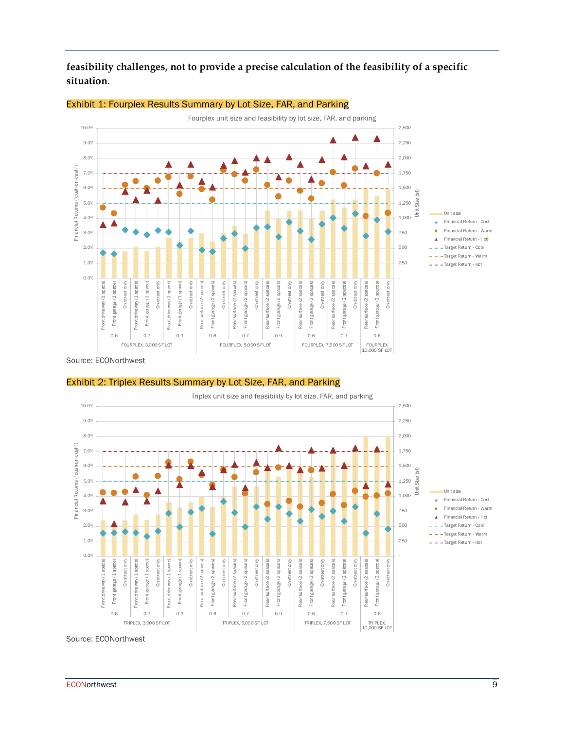**feasibility challenges, not to provide a precise calculation of the feasibility of a specific situation**.



#### Exhibit 1: Fourplex Results Summary by Lot Size, FAR, and Parking

Exhibit 2: Triplex Results Summary by Lot Size, FAR, and Parking

Triplex unit size and feasibility by lot size, FAR, and parking 10.0% 2,500 9.0% 2,250 8.0% 2,000 -cash") Financial Returns ("cash-on-cash") 7.0% 1,750 Unit size<br>Financial Return - Cool<br>Financial Return - Warr Financial Returns ("cash-on-6.0% 1,500 Unit Size (sf) Unit size<br>Financial Return - Cool<br>Financial Return - Warm<br>Financial Return - Hot Unit size<br>Financial Return - Coo<br>Financial Return - War<br>Financial Return - Hot<br>Target Return - Cool 5.0% 1,250 Unit size 4.0% 1,000 750 3.0% Target Return - Cool 2.0% 500 Target Return - Warm 250 1.0%  $-$  - Target Return - Hot 0.0% - Front driveway (1 space) eway (1 space) veway (1 space) On-street only surface (2 spaces) garage (2 spaces) On-street only garage (2 spaces) On-street only surface (2 spaces) garage (2 spaces) surface (2 spaces) garage (2 spaces) On-street only Front driveway (1 space) Front garage (1 space) Front driveway (1 space) garage (1 space) Front garage (1 space) On-street only Front driveway (1 space) Front garage (1 space) Rear surface (2 spaces) Front garage (2 spaces) face (2 spaces) Rear surface (2 spaces) Front garage (2 spaces) Rear surface (2 spaces) Front garage (2 spaces) On-street only Rear surface (2 spaces) garage (2 spaces) Front garage (2 spaces) On-street only surface (2 spaces) Rear surface (2 spaces) garage (2 spaces) Front garage (2 spaces) On-street only Rear surface (2 spaces) Front garage (2 spaces) garage (1 space) On-street only garage (1 space) surface (2 spaces Ē 훍 Front Front Front Front Rear Front Front Front Front Rear Front Front Rear Rear Rear Rear iront 0.6 0.7 0.9 0.6 0.7 0.9 0.6 0.7 0.6 TRIPLEX,<br>10,000 SF LOT TRIPLEX, 3,000 SF LOT TRIPLEX, 5,000 SF LOT TRIPLEX, 7,500 SF LOT

Source: ECONorthwest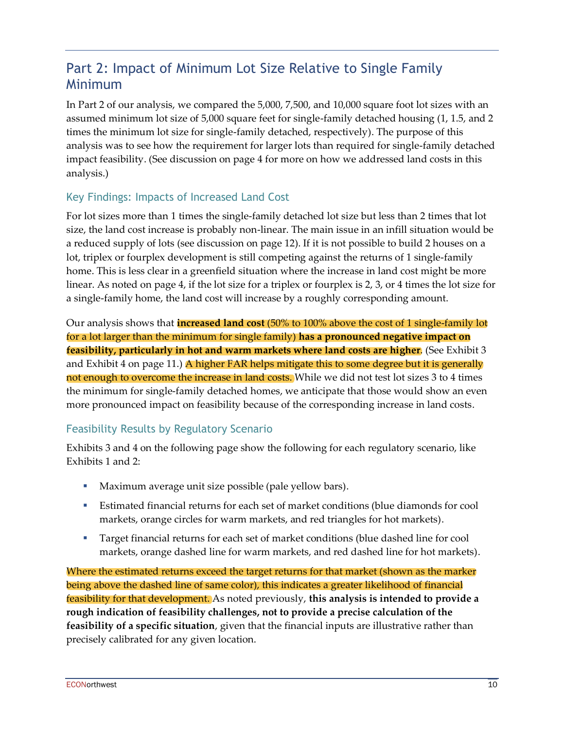### Part 2: Impact of Minimum Lot Size Relative to Single Family Minimum

In Part 2 of our analysis, we compared the 5,000, 7,500, and 10,000 square foot lot sizes with an assumed minimum lot size of 5,000 square feet for single-family detached housing (1, 1.5, and 2 times the minimum lot size for single-family detached, respectively). The purpose of this analysis was to see how the requirement for larger lots than required for single-family detached impact feasibility. (See discussion on page [4](#page-3-0) for more on how we addressed land costs in this analysis.)

#### Key Findings: Impacts of Increased Land Cost

For lot sizes more than 1 times the single-family detached lot size but less than 2 times that lot size, the land cost increase is probably non-linear. The main issue in an infill situation would be a reduced supply of lots (see discussion on page 12). If it is not possible to build 2 houses on a lot, triplex or fourplex development is still competing against the returns of 1 single-family home. This is less clear in a greenfield situation where the increase in land cost might be more linear. As noted on pag[e 4,](#page-3-0) if the lot size for a triplex or fourplex is 2, 3, or 4 times the lot size for a single-family home, the land cost will increase by a roughly corresponding amount.

Our analysis shows that **increased land cost** (50% to 100% above the cost of 1 single-family lot for a lot larger than the minimum for single family) **has a pronounced negative impact on feasibility, particularly in hot and warm markets where land costs are higher**. (See Exhibit 3 and Exhibit 4 on page 11.) A higher FAR helps mitigate this to some degree but it is generally not enough to overcome the increase in land costs. While we did not test lot sizes 3 to 4 times the minimum for single-family detached homes, we anticipate that those would show an even more pronounced impact on feasibility because of the corresponding increase in land costs.

### Feasibility Results by Regulatory Scenario

Exhibits 3 and 4 on the following page show the following for each regulatory scenario, like Exhibits 1 and 2:

- Maximum average unit size possible (pale yellow bars).
- **Estimated financial returns for each set of market conditions (blue diamonds for cool** markets, orange circles for warm markets, and red triangles for hot markets).
- **Target financial returns for each set of market conditions (blue dashed line for cool** markets, orange dashed line for warm markets, and red dashed line for hot markets).

Where the estimated returns exceed the target returns for that market (shown as the marker being above the dashed line of same color), this indicates a greater likelihood of financial feasibility for that development. As noted previously, **this analysis is intended to provide a rough indication of feasibility challenges, not to provide a precise calculation of the feasibility of a specific situation**, given that the financial inputs are illustrative rather than precisely calibrated for any given location.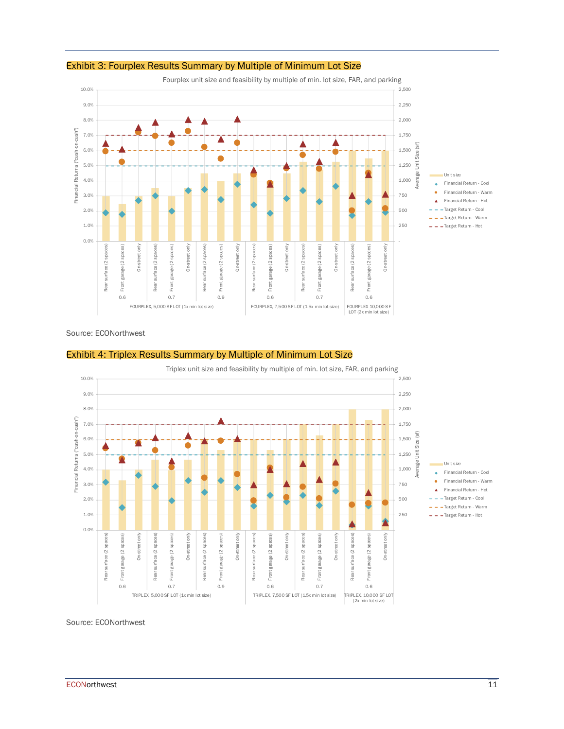

#### Exhibit 3: Fourplex Results Summary by Multiple of Minimum Lot Size

Fourplex unit size and feasibility by multiple of min. lot size, FAR, and parking

#### Source: ECONorthwest





Source: ECONorthwest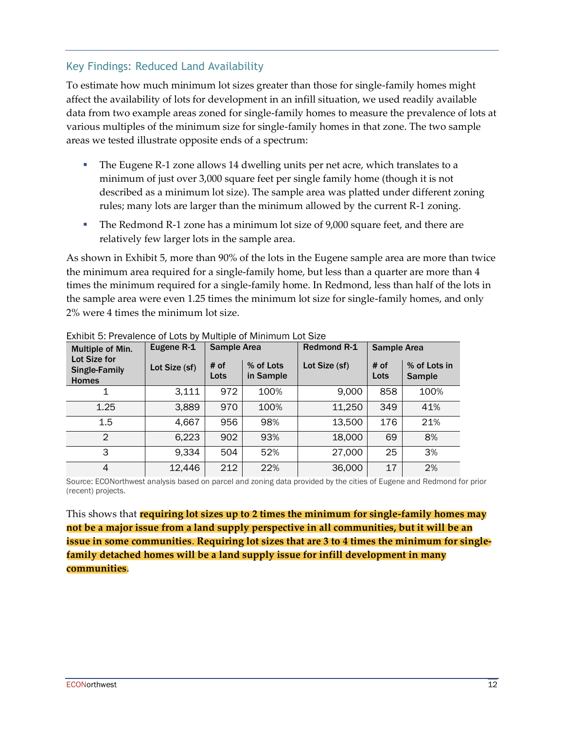#### Key Findings: Reduced Land Availability

To estimate how much minimum lot sizes greater than those for single-family homes might affect the availability of lots for development in an infill situation, we used readily available data from two example areas zoned for single-family homes to measure the prevalence of lots at various multiples of the minimum size for single-family homes in that zone. The two sample areas we tested illustrate opposite ends of a spectrum:

- The Eugene R-1 zone allows 14 dwelling units per net acre, which translates to a minimum of just over 3,000 square feet per single family home (though it is not described as a minimum lot size). The sample area was platted under different zoning rules; many lots are larger than the minimum allowed by the current R-1 zoning.
- **•** The Redmond R-1 zone has a minimum lot size of 9,000 square feet, and there are relatively few larger lots in the sample area.

As shown in Exhibit 5, more than 90% of the lots in the Eugene sample area are more than twice the minimum area required for a single-family home, but less than a quarter are more than 4 times the minimum required for a single-family home. In Redmond, less than half of the lots in the sample area were even 1.25 times the minimum lot size for single-family homes, and only 2% were 4 times the minimum lot size.

| Multiple of Min.                                     | Eugene R-1    | <b>Sample Area</b> |                        | <b>Redmond R-1</b><br><b>Sample Area</b> |              |                               |
|------------------------------------------------------|---------------|--------------------|------------------------|------------------------------------------|--------------|-------------------------------|
| Lot Size for<br><b>Single-Family</b><br><b>Homes</b> | Lot Size (sf) | # of<br>Lots       | % of Lots<br>in Sample | Lot Size (sf)                            | # of<br>Lots | % of Lots in<br><b>Sample</b> |
|                                                      | 3,111         | 972                | 100%                   | 9,000                                    | 858          | 100%                          |
| 1.25                                                 | 3,889         | 970                | 100%                   | 11,250                                   | 349          | 41%                           |
| 1.5                                                  | 4,667         | 956                | 98%                    | 13,500                                   | 176          | 21%                           |
| $\mathfrak{D}$                                       | 6,223         | 902                | 93%                    | 18,000                                   | 69           | 8%                            |
| 3                                                    | 9,334         | 504                | 52%                    | 27,000                                   | 25           | 3%                            |
| 4                                                    | 12,446        | 212                | 22%                    | 36,000                                   | 17           | 2%                            |

Exhibit 5: Prevalence of Lots by Multiple of Minimum Lot Size

Source: ECONorthwest analysis based on parcel and zoning data provided by the cities of Eugene and Redmond for prior (recent) projects.

This shows that **requiring lot sizes up to 2 times the minimum for single-family homes may not be a major issue from a land supply perspective in all communities, but it will be an issue in some communities**. **Requiring lot sizes that are 3 to 4 times the minimum for singlefamily detached homes will be a land supply issue for infill development in many communities**.